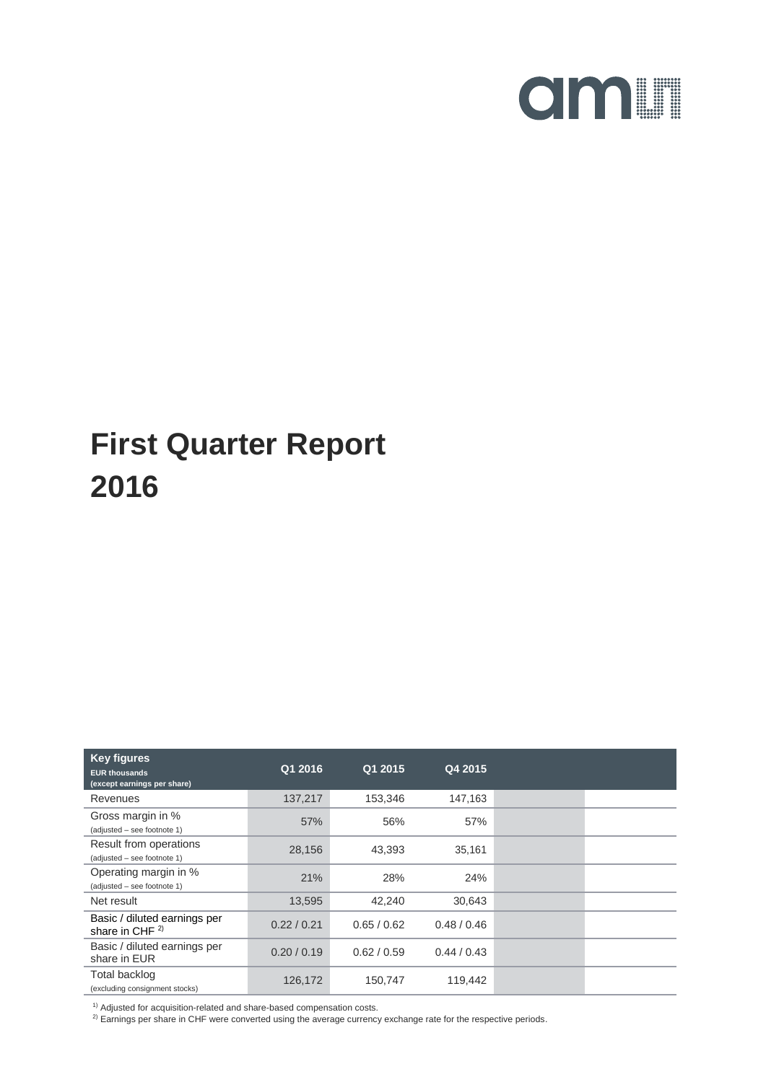

| <b>Key figures</b><br><b>EUR thousands</b><br>(except earnings per share) | Q1 2016     | Q1 2015     | Q4 2015     |  |
|---------------------------------------------------------------------------|-------------|-------------|-------------|--|
| Revenues                                                                  | 137,217     | 153,346     | 147,163     |  |
| Gross margin in %<br>(adjusted - see footnote 1)                          | 57%         | 56%         | 57%         |  |
| Result from operations<br>(adjusted - see footnote 1)                     | 28,156      | 43,393      | 35,161      |  |
| Operating margin in %<br>(adjusted - see footnote 1)                      | 21%         | 28%         | 24%         |  |
| Net result                                                                | 13,595      | 42,240      | 30,643      |  |
| Basic / diluted earnings per<br>share in CHF <sup>2)</sup>                | 0.22 / 0.21 | 0.65/0.62   | 0.48/0.46   |  |
| Basic / diluted earnings per<br>share in EUR                              | 0.20 / 0.19 | 0.62 / 0.59 | 0.44 / 0.43 |  |
| <b>Total backlog</b><br>(excluding consignment stocks)                    | 126,172     | 150,747     | 119,442     |  |

 $^{1)}$  Adjusted for acquisition-related and share-based compensation costs.

2) Earnings per share in CHF were converted using the average currency exchange rate for the respective periods.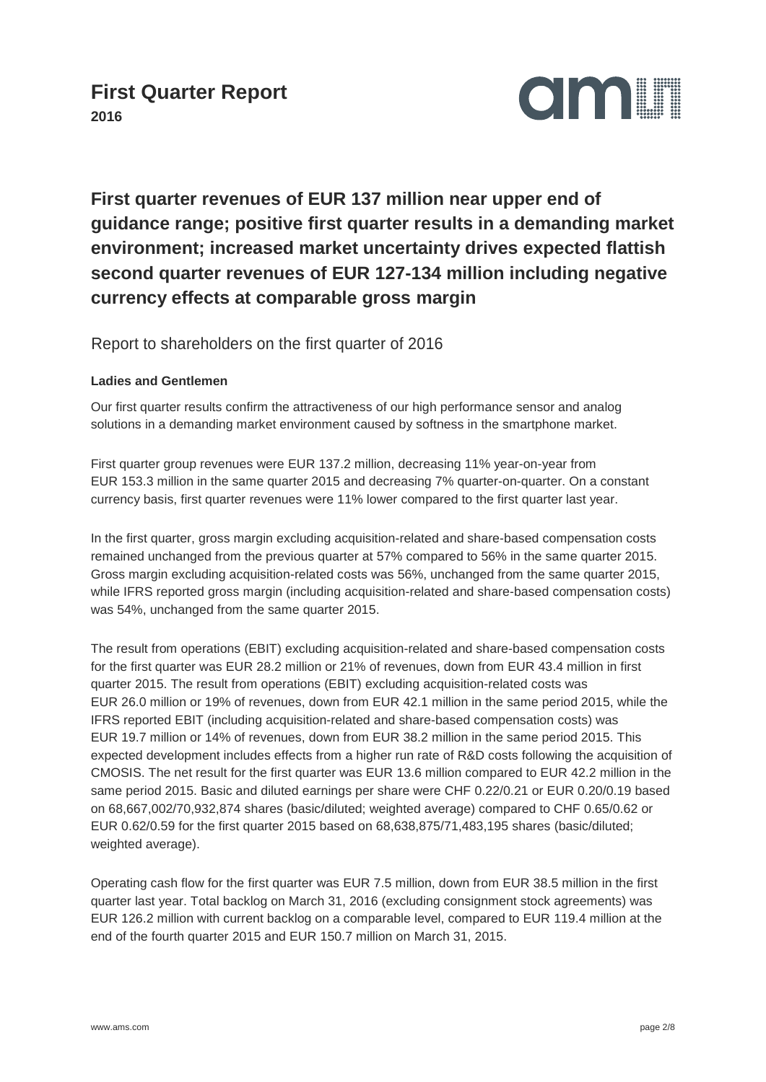

### **First quarter revenues of EUR 137 million near upper end of guidance range; positive first quarter results in a demanding market environment; increased market uncertainty drives expected flattish second quarter revenues of EUR 127-134 million including negative currency effects at comparable gross margin**

Report to shareholders on the first quarter of 2016

#### **Ladies and Gentlemen**

Our first quarter results confirm the attractiveness of our high performance sensor and analog solutions in a demanding market environment caused by softness in the smartphone market.

First quarter group revenues were EUR 137.2 million, decreasing 11% year-on-year from EUR 153.3 million in the same quarter 2015 and decreasing 7% quarter-on-quarter. On a constant currency basis, first quarter revenues were 11% lower compared to the first quarter last year.

In the first quarter, gross margin excluding acquisition-related and share-based compensation costs remained unchanged from the previous quarter at 57% compared to 56% in the same quarter 2015. Gross margin excluding acquisition-related costs was 56%, unchanged from the same quarter 2015, while IFRS reported gross margin (including acquisition-related and share-based compensation costs) was 54%, unchanged from the same quarter 2015.

The result from operations (EBIT) excluding acquisition-related and share-based compensation costs for the first quarter was EUR 28.2 million or 21% of revenues, down from EUR 43.4 million in first quarter 2015. The result from operations (EBIT) excluding acquisition-related costs was EUR 26.0 million or 19% of revenues, down from EUR 42.1 million in the same period 2015, while the IFRS reported EBIT (including acquisition-related and share-based compensation costs) was EUR 19.7 million or 14% of revenues, down from EUR 38.2 million in the same period 2015. This expected development includes effects from a higher run rate of R&D costs following the acquisition of CMOSIS. The net result for the first quarter was EUR 13.6 million compared to EUR 42.2 million in the same period 2015. Basic and diluted earnings per share were CHF 0.22/0.21 or EUR 0.20/0.19 based on 68,667,002/70,932,874 shares (basic/diluted; weighted average) compared to CHF 0.65/0.62 or EUR 0.62/0.59 for the first quarter 2015 based on 68,638,875/71,483,195 shares (basic/diluted; weighted average).

Operating cash flow for the first quarter was EUR 7.5 million, down from EUR 38.5 million in the first quarter last year. Total backlog on March 31, 2016 (excluding consignment stock agreements) was EUR 126.2 million with current backlog on a comparable level, compared to EUR 119.4 million at the end of the fourth quarter 2015 and EUR 150.7 million on March 31, 2015.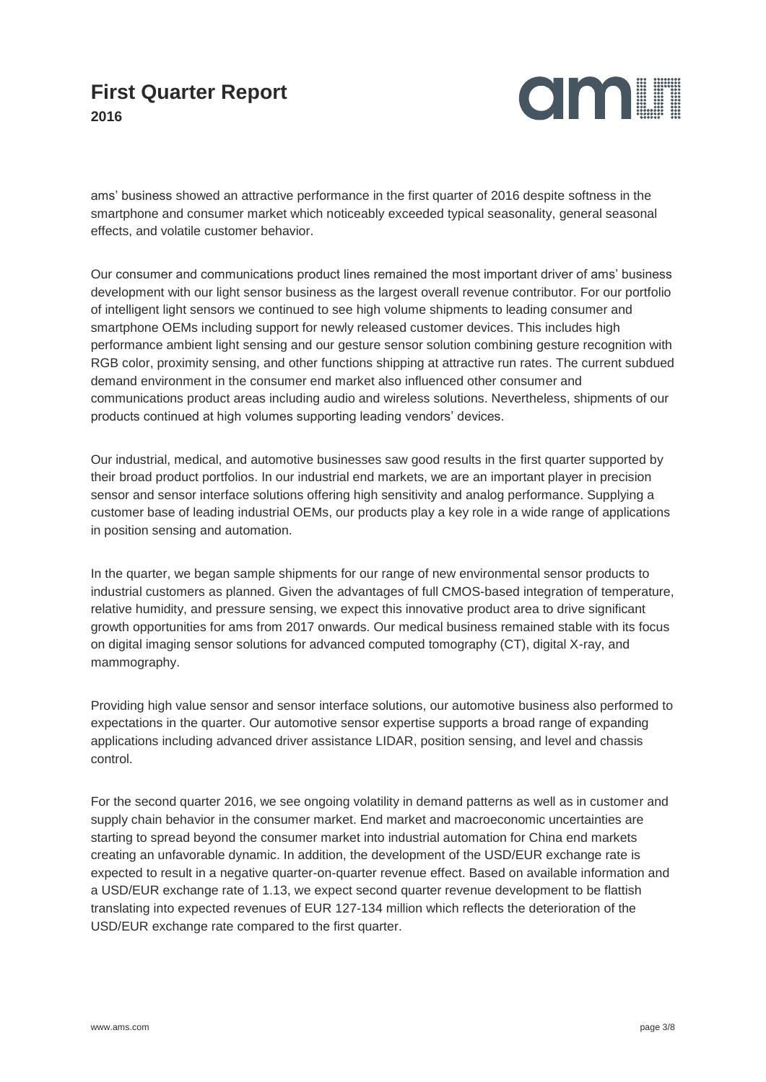

ams' business showed an attractive performance in the first quarter of 2016 despite softness in the smartphone and consumer market which noticeably exceeded typical seasonality, general seasonal effects, and volatile customer behavior.

Our consumer and communications product lines remained the most important driver of ams' business development with our light sensor business as the largest overall revenue contributor. For our portfolio of intelligent light sensors we continued to see high volume shipments to leading consumer and smartphone OEMs including support for newly released customer devices. This includes high performance ambient light sensing and our gesture sensor solution combining gesture recognition with RGB color, proximity sensing, and other functions shipping at attractive run rates. The current subdued demand environment in the consumer end market also influenced other consumer and communications product areas including audio and wireless solutions. Nevertheless, shipments of our products continued at high volumes supporting leading vendors' devices.

Our industrial, medical, and automotive businesses saw good results in the first quarter supported by their broad product portfolios. In our industrial end markets, we are an important player in precision sensor and sensor interface solutions offering high sensitivity and analog performance. Supplying a customer base of leading industrial OEMs, our products play a key role in a wide range of applications in position sensing and automation.

In the quarter, we began sample shipments for our range of new environmental sensor products to industrial customers as planned. Given the advantages of full CMOS-based integration of temperature, relative humidity, and pressure sensing, we expect this innovative product area to drive significant growth opportunities for ams from 2017 onwards. Our medical business remained stable with its focus on digital imaging sensor solutions for advanced computed tomography (CT), digital X-ray, and mammography.

Providing high value sensor and sensor interface solutions, our automotive business also performed to expectations in the quarter. Our automotive sensor expertise supports a broad range of expanding applications including advanced driver assistance LIDAR, position sensing, and level and chassis control.

For the second quarter 2016, we see ongoing volatility in demand patterns as well as in customer and supply chain behavior in the consumer market. End market and macroeconomic uncertainties are starting to spread beyond the consumer market into industrial automation for China end markets creating an unfavorable dynamic. In addition, the development of the USD/EUR exchange rate is expected to result in a negative quarter-on-quarter revenue effect. Based on available information and a USD/EUR exchange rate of 1.13, we expect second quarter revenue development to be flattish translating into expected revenues of EUR 127-134 million which reflects the deterioration of the USD/EUR exchange rate compared to the first quarter.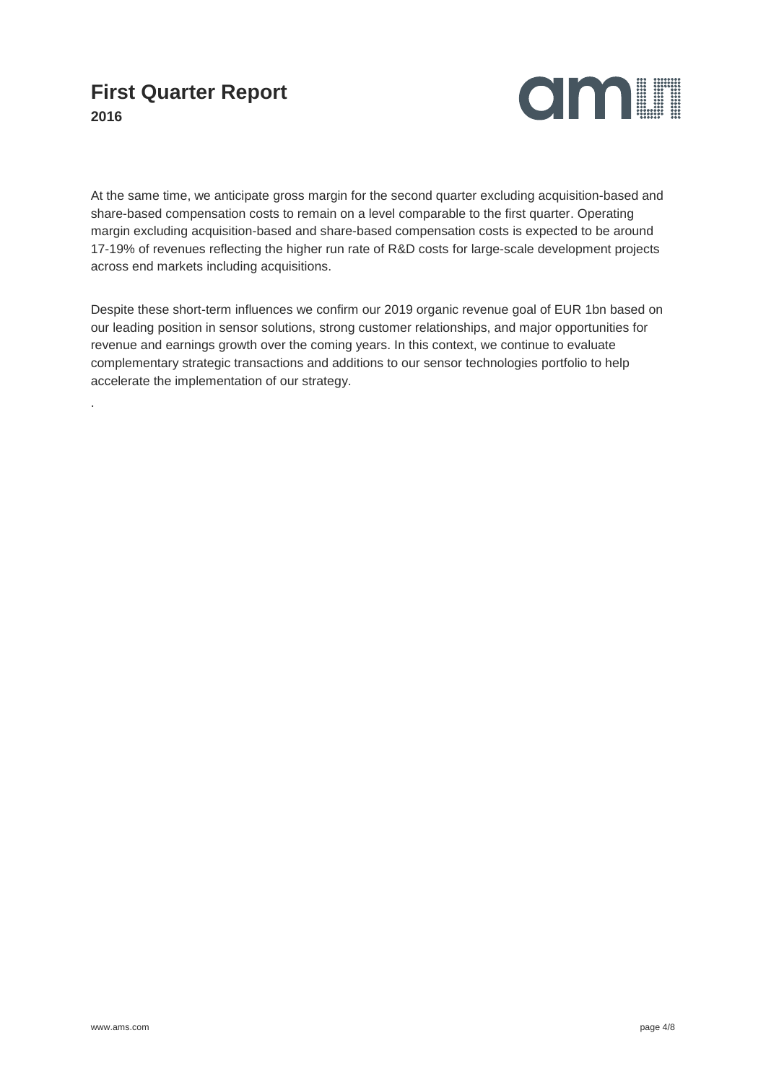

At the same time, we anticipate gross margin for the second quarter excluding acquisition-based and share-based compensation costs to remain on a level comparable to the first quarter. Operating margin excluding acquisition-based and share-based compensation costs is expected to be around 17-19% of revenues reflecting the higher run rate of R&D costs for large-scale development projects across end markets including acquisitions.

Despite these short-term influences we confirm our 2019 organic revenue goal of EUR 1bn based on our leading position in sensor solutions, strong customer relationships, and major opportunities for revenue and earnings growth over the coming years. In this context, we continue to evaluate complementary strategic transactions and additions to our sensor technologies portfolio to help accelerate the implementation of our strategy.

.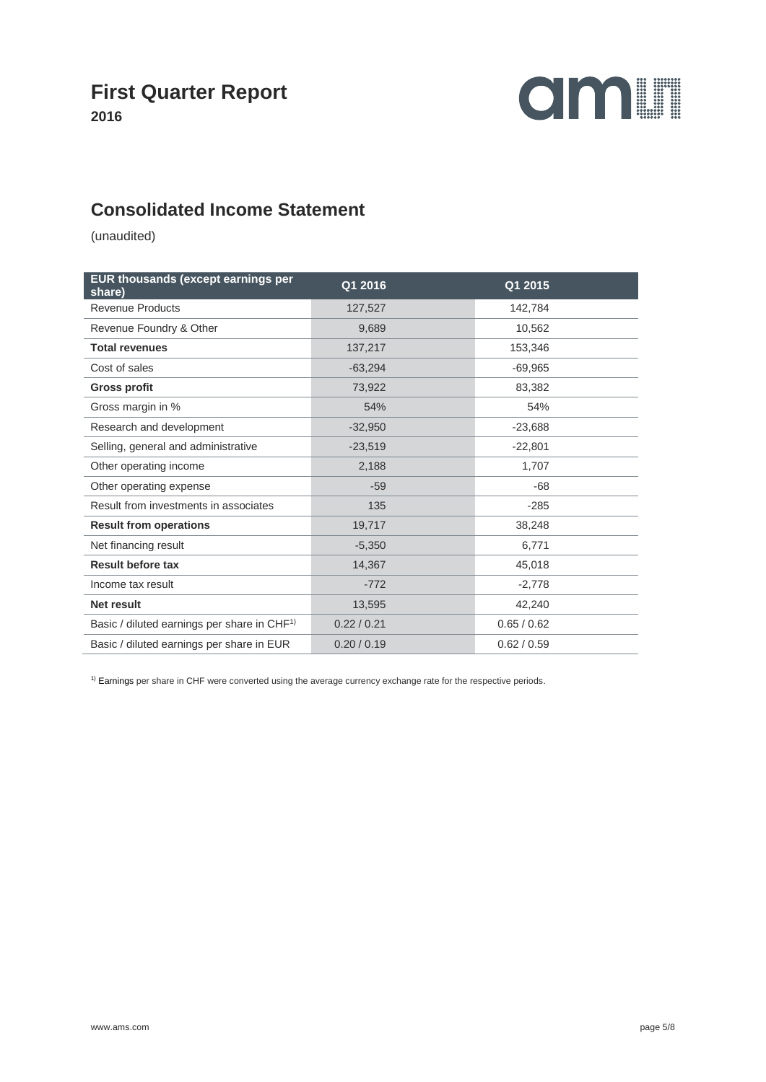

#### **Consolidated Income Statement**

(unaudited)

| EUR thousands (except earnings per<br>share)            | Q1 2016     | Q1 2015     |
|---------------------------------------------------------|-------------|-------------|
| <b>Revenue Products</b>                                 | 127,527     | 142,784     |
| Revenue Foundry & Other                                 | 9,689       | 10,562      |
| <b>Total revenues</b>                                   | 137,217     | 153,346     |
| Cost of sales                                           | $-63,294$   | $-69,965$   |
| <b>Gross profit</b>                                     | 73,922      | 83,382      |
| Gross margin in %                                       | 54%         | 54%         |
| Research and development                                | $-32,950$   | $-23,688$   |
| Selling, general and administrative                     | $-23,519$   | $-22,801$   |
| Other operating income                                  | 2,188       | 1,707       |
| Other operating expense                                 | $-59$       | $-68$       |
| Result from investments in associates                   | 135         | $-285$      |
| <b>Result from operations</b>                           | 19,717      | 38,248      |
| Net financing result                                    | $-5,350$    | 6,771       |
| <b>Result before tax</b>                                | 14,367      | 45,018      |
| Income tax result                                       | $-772$      | $-2,778$    |
| Net result                                              | 13,595      | 42,240      |
| Basic / diluted earnings per share in CHF <sup>1)</sup> | 0.22 / 0.21 | 0.65 / 0.62 |
| Basic / diluted earnings per share in EUR               | 0.20 / 0.19 | 0.62 / 0.59 |

<sup>1)</sup> Earnings per share in CHF were converted using the average currency exchange rate for the respective periods.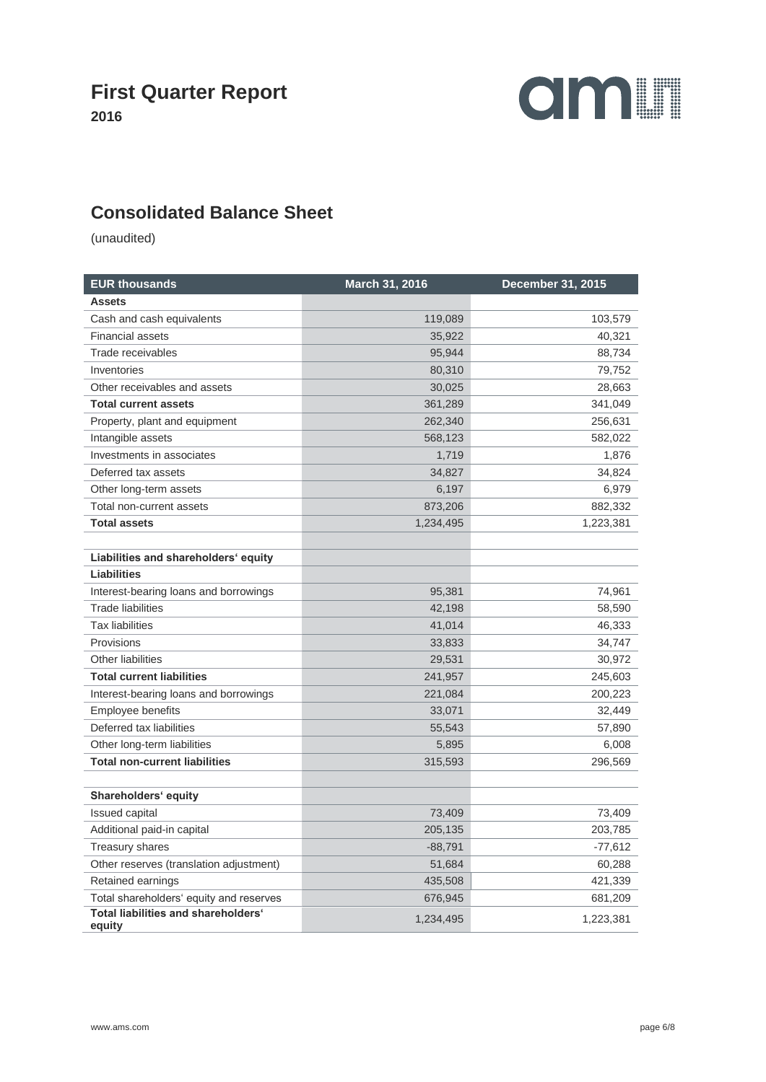

#### **Consolidated Balance Sheet**

(unaudited)

| <b>EUR thousands</b>                          | March 31, 2016 | December 31, 2015 |  |
|-----------------------------------------------|----------------|-------------------|--|
| <b>Assets</b>                                 |                |                   |  |
| Cash and cash equivalents                     | 119,089        | 103,579           |  |
| <b>Financial assets</b>                       | 35,922         | 40,321            |  |
| Trade receivables                             | 95,944         | 88,734            |  |
| Inventories                                   | 80,310         | 79,752            |  |
| Other receivables and assets                  | 30,025         | 28,663            |  |
| <b>Total current assets</b>                   | 361,289        | 341,049           |  |
| Property, plant and equipment                 | 262,340        | 256,631           |  |
| Intangible assets                             | 568,123        | 582,022           |  |
| Investments in associates                     | 1,719          | 1,876             |  |
| Deferred tax assets                           | 34,827         | 34,824            |  |
| Other long-term assets                        | 6,197          | 6,979             |  |
| Total non-current assets                      | 873,206        | 882,332           |  |
| <b>Total assets</b>                           | 1,234,495      | 1,223,381         |  |
|                                               |                |                   |  |
| Liabilities and shareholders' equity          |                |                   |  |
| <b>Liabilities</b>                            |                |                   |  |
| Interest-bearing loans and borrowings         | 95,381         | 74,961            |  |
| <b>Trade liabilities</b>                      | 42,198         | 58,590            |  |
| <b>Tax liabilities</b>                        | 41,014         | 46,333            |  |
| Provisions                                    | 33,833         | 34,747            |  |
| Other liabilities                             | 29,531         | 30,972            |  |
| <b>Total current liabilities</b>              | 241,957        | 245,603           |  |
| Interest-bearing loans and borrowings         | 221,084        | 200,223           |  |
| Employee benefits                             | 33,071         | 32,449            |  |
| Deferred tax liabilities                      | 55,543         | 57,890            |  |
| Other long-term liabilities                   | 5,895          | 6,008             |  |
| <b>Total non-current liabilities</b>          | 315,593        | 296,569           |  |
|                                               |                |                   |  |
| Shareholders' equity                          |                |                   |  |
| <b>Issued capital</b>                         | 73,409         | 73,409            |  |
| Additional paid-in capital                    | 205,135        | 203,785           |  |
| Treasury shares                               | $-88,791$      | -77,612           |  |
| Other reserves (translation adjustment)       | 51,684         | 60,288            |  |
| Retained earnings                             | 435,508        | 421,339           |  |
| Total shareholders' equity and reserves       | 676,945        | 681,209           |  |
| Total liabilities and shareholders'<br>equity | 1,234,495      | 1,223,381         |  |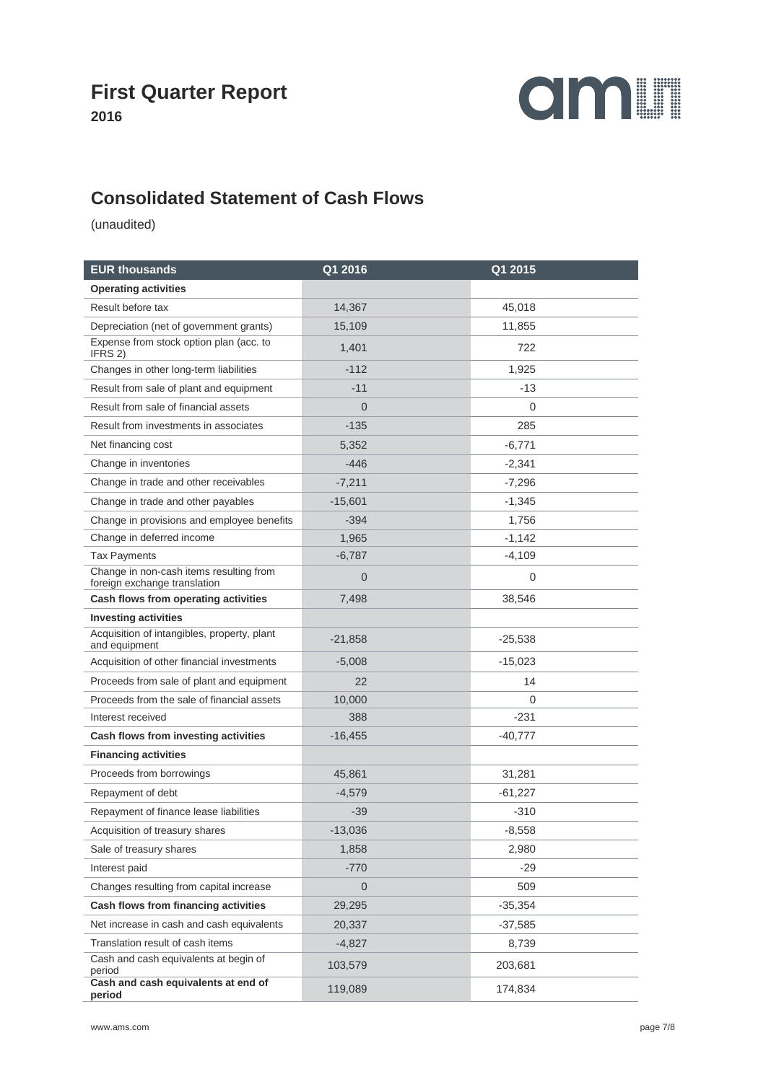



### **Consolidated Statement of Cash Flows**

(unaudited)

| <b>EUR thousands</b>                                                    | Q1 2016        | Q1 2015   |
|-------------------------------------------------------------------------|----------------|-----------|
| <b>Operating activities</b>                                             |                |           |
| Result before tax                                                       | 14,367         | 45,018    |
| Depreciation (net of government grants)                                 | 15,109         | 11,855    |
| Expense from stock option plan (acc. to<br>IFRS 2)                      | 1,401          | 722       |
| Changes in other long-term liabilities                                  | $-112$         | 1,925     |
| Result from sale of plant and equipment                                 | $-11$          | -13       |
| Result from sale of financial assets                                    | $\Omega$       | 0         |
| Result from investments in associates                                   | $-135$         | 285       |
| Net financing cost                                                      | 5,352          | $-6,771$  |
| Change in inventories                                                   | $-446$         | $-2,341$  |
| Change in trade and other receivables                                   | $-7,211$       | $-7,296$  |
| Change in trade and other payables                                      | $-15,601$      | $-1,345$  |
| Change in provisions and employee benefits                              | $-394$         | 1,756     |
| Change in deferred income                                               | 1,965          | $-1,142$  |
| Tax Payments                                                            | $-6,787$       | $-4,109$  |
| Change in non-cash items resulting from<br>foreign exchange translation | $\overline{0}$ | 0         |
| Cash flows from operating activities                                    | 7,498          | 38,546    |
| <b>Investing activities</b>                                             |                |           |
| Acquisition of intangibles, property, plant<br>and equipment            | $-21,858$      | $-25,538$ |
| Acquisition of other financial investments                              | $-5,008$       | $-15,023$ |
| Proceeds from sale of plant and equipment                               | 22             | 14        |
| Proceeds from the sale of financial assets                              | 10,000         | 0         |
| Interest received                                                       | 388            | $-231$    |
| Cash flows from investing activities                                    | $-16,455$      | -40,777   |
| <b>Financing activities</b>                                             |                |           |
| Proceeds from borrowings                                                | 45,861         | 31,281    |
| Repayment of debt                                                       | $-4,579$       | $-61,227$ |
| Repayment of finance lease liabilities                                  | $-39$          | $-310$    |
| Acquisition of treasury shares                                          | $-13,036$      | $-8,558$  |
| Sale of treasury shares                                                 | 1,858          | 2,980     |
| Interest paid                                                           | $-770$         | $-29$     |
| Changes resulting from capital increase                                 | $\overline{0}$ | 509       |
| Cash flows from financing activities                                    | 29,295         | $-35,354$ |
| Net increase in cash and cash equivalents                               | 20,337         | $-37,585$ |
| Translation result of cash items                                        | $-4,827$       | 8,739     |
| Cash and cash equivalents at begin of<br>period                         | 103,579        | 203,681   |
| Cash and cash equivalents at end of<br>period                           | 119,089        | 174,834   |